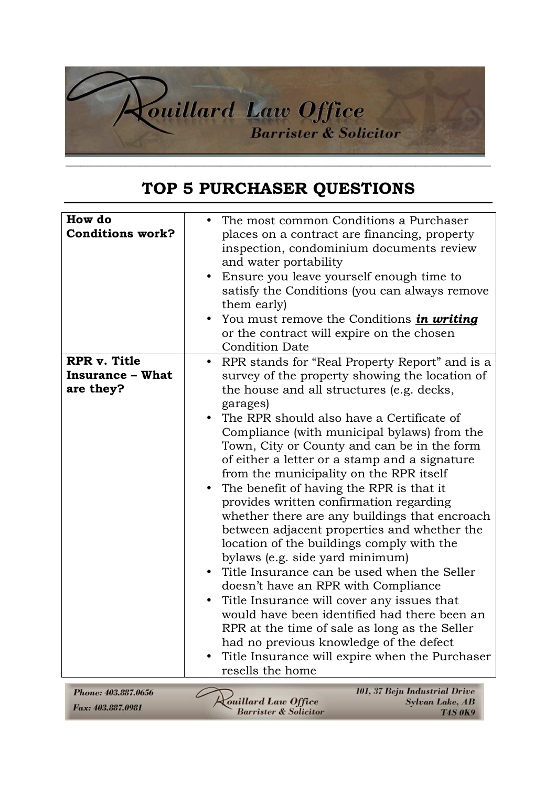

## **TOP 5 PURCHASER QUESTIONS**

| How do<br><b>Conditions work?</b>                           | The most common Conditions a Purchaser<br>places on a contract are financing, property<br>inspection, condominium documents review<br>and water portability<br>Ensure you leave yourself enough time to<br>satisfy the Conditions (you can always remove<br>them early)<br>You must remove the Conditions <i>in writing</i><br>or the contract will expire on the chosen<br><b>Condition Date</b>                                                                                                                                                                                                                                                                                                                     |
|-------------------------------------------------------------|-----------------------------------------------------------------------------------------------------------------------------------------------------------------------------------------------------------------------------------------------------------------------------------------------------------------------------------------------------------------------------------------------------------------------------------------------------------------------------------------------------------------------------------------------------------------------------------------------------------------------------------------------------------------------------------------------------------------------|
| <b>RPR v. Title</b><br><b>Insurance – What</b><br>are they? | RPR stands for "Real Property Report" and is a<br>$\bullet$<br>survey of the property showing the location of<br>the house and all structures (e.g. decks,<br>garages)<br>The RPR should also have a Certificate of<br>Compliance (with municipal bylaws) from the<br>Town, City or County and can be in the form                                                                                                                                                                                                                                                                                                                                                                                                     |
|                                                             | of either a letter or a stamp and a signature<br>from the municipality on the RPR itself<br>The benefit of having the RPR is that it<br>provides written confirmation regarding<br>whether there are any buildings that encroach<br>between adjacent properties and whether the<br>location of the buildings comply with the<br>bylaws (e.g. side yard minimum)<br>Title Insurance can be used when the Seller<br>doesn't have an RPR with Compliance<br>Title Insurance will cover any issues that<br>would have been identified had there been an<br>RPR at the time of sale as long as the Seller<br>had no previous knowledge of the defect<br>Title Insurance will expire when the Purchaser<br>resells the home |
| Phone: 403.887.0656<br>Fax: 403.887.0981                    | 101, 37 Beju Industrial Drive<br>ouillard Law Office<br>Sylvan Lake, AB                                                                                                                                                                                                                                                                                                                                                                                                                                                                                                                                                                                                                                               |

Barrister & Solicitor

**T4S 0K9**